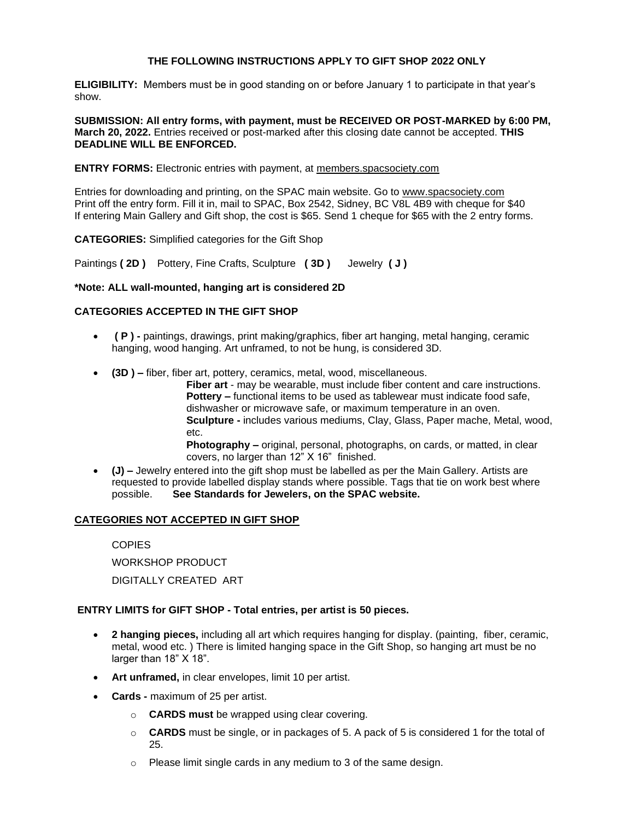# **THE FOLLOWING INSTRUCTIONS APPLY TO GIFT SHOP 2022 ONLY**

**ELIGIBILITY:** Members must be in good standing on or before January 1 to participate in that year's show.

**SUBMISSION: All entry forms, with payment, must be RECEIVED OR POST-MARKED by 6:00 PM, March 20, 2022.** Entries received or post-marked after this closing date cannot be accepted. **THIS DEADLINE WILL BE ENFORCED.** 

### **ENTRY FORMS:** Electronic entries with payment, at members.spacsociety.com

Entries for downloading and printing, on the SPAC main website. Go to www.spacsociety.com Print off the entry form. Fill it in, mail to SPAC, Box 2542, Sidney, BC V8L 4B9 with cheque for \$40 If entering Main Gallery and Gift shop, the cost is \$65. Send 1 cheque for \$65 with the 2 entry forms.

**CATEGORIES:** Simplified categories for the Gift Shop

Paintings **( 2D )** Pottery, Fine Crafts, Sculpture **( 3D )** Jewelry **( J )**

#### **\*Note: ALL wall-mounted, hanging art is considered 2D**

#### **CATEGORIES ACCEPTED IN THE GIFT SHOP**

- **( P ) -** paintings, drawings, print making/graphics, fiber art hanging, metal hanging, ceramic hanging, wood hanging. Art unframed, to not be hung, is considered 3D.
- **(3D ) –** fiber, fiber art, pottery, ceramics, metal, wood, miscellaneous.

**Fiber art** - may be wearable, must include fiber content and care instructions. **Pottery –** functional items to be used as tablewear must indicate food safe, dishwasher or microwave safe, or maximum temperature in an oven. **Sculpture -** includes various mediums, Clay, Glass, Paper mache, Metal, wood, etc.

**Photography –** original, personal, photographs, on cards, or matted, in clear covers, no larger than 12" X 16" finished.

• **(J) –** Jewelry entered into the gift shop must be labelled as per the Main Gallery. Artists are requested to provide labelled display stands where possible. Tags that tie on work best where possible. **See Standards for Jewelers, on the SPAC website.**

### **CATEGORIES NOT ACCEPTED IN GIFT SHOP**

**COPIES** WORKSHOP PRODUCT DIGITALLY CREATED ART

### **ENTRY LIMITS for GIFT SHOP - Total entries, per artist is 50 pieces.**

- **2 hanging pieces,** including all art which requires hanging for display. (painting, fiber, ceramic, metal, wood etc. ) There is limited hanging space in the Gift Shop, so hanging art must be no larger than 18" X 18".
- Art unframed, in clear envelopes, limit 10 per artist.
- **Cards -** maximum of 25 per artist.
	- o **CARDS must** be wrapped using clear covering.
	- o **CARDS** must be single, or in packages of 5. A pack of 5 is considered 1 for the total of 25.
	- o Please limit single cards in any medium to 3 of the same design.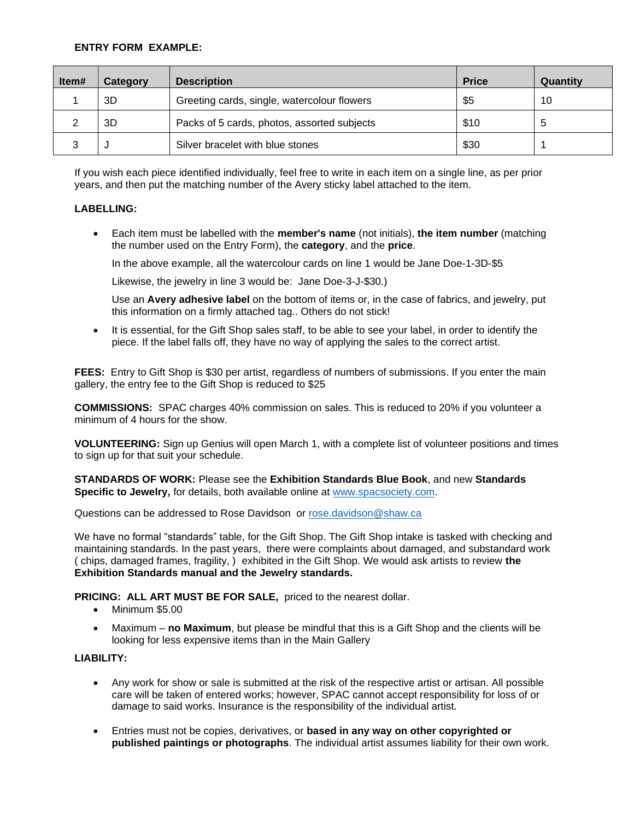## **ENTRY FORM EXAMPLE:**

| ltem# | Category | <b>Description</b>                          | <b>Price</b> | Quantity |
|-------|----------|---------------------------------------------|--------------|----------|
|       | 3D       | Greeting cards, single, watercolour flowers | \$5          | 10       |
|       | 3D       | Packs of 5 cards, photos, assorted subjects | \$10         | 5        |
|       |          | Silver bracelet with blue stones            | \$30         |          |

If you wish each piece identified individually, feel free to write in each item on a single line, as per prior years, and then put the matching number of the Avery sticky label attached to the item.

### **LABELLING:**

• Each item must be labelled with the **member's name** (not initials), **the item number** (matching the number used on the Entry Form), the **category**, and the **price**.

In the above example, all the watercolour cards on line 1 would be Jane Doe-1-3D-\$5

Likewise, the jewelry in line 3 would be: Jane Doe-3-J-\$30.)

Use an **Avery adhesive label** on the bottom of items or, in the case of fabrics, and jewelry, put this information on a firmly attached tag.. Others do not stick!

• It is essential, for the Gift Shop sales staff, to be able to see your label, in order to identify the piece. If the label falls off, they have no way of applying the sales to the correct artist.

**FEES:** Entry to Gift Shop is \$30 per artist, regardless of numbers of submissions. If you enter the main gallery, the entry fee to the Gift Shop is reduced to \$25

**COMMISSIONS:** SPAC charges 40% commission on sales. This is reduced to 20% if you volunteer a minimum of 4 hours for the show.

**VOLUNTEERING:** Sign up Genius will open March 1, with a complete list of volunteer positions and times to sign up for that suit your schedule.

**STANDARDS OF WORK:** Please see the **Exhibition Standards Blue Book**, and new **Standards Specific to Jewelry,** for details, both available online at [www.spacsociety.com.](http://www.spacsociety.com/)

Questions can be addressed to Rose Davidson or [rose.davidson@shaw.ca](mailto:rose.davidson@shaw.ca)

We have no formal "standards" table, for the Gift Shop. The Gift Shop intake is tasked with checking and maintaining standards. In the past years, there were complaints about damaged, and substandard work ( chips, damaged frames, fragility, ) exhibited in the Gift Shop. We would ask artists to review **the Exhibition Standards manual and the Jewelry standards.**

### **PRICING: ALL ART MUST BE FOR SALE,** priced to the nearest dollar.

- Minimum \$5.00
- Maximum **no Maximum**, but please be mindful that this is a Gift Shop and the clients will be looking for less expensive items than in the Main Gallery

### **LIABILITY:**

- Any work for show or sale is submitted at the risk of the respective artist or artisan. All possible care will be taken of entered works; however, SPAC cannot accept responsibility for loss of or damage to said works. Insurance is the responsibility of the individual artist.
- Entries must not be copies, derivatives, or **based in any way on other copyrighted or published paintings or photographs**. The individual artist assumes liability for their own work.